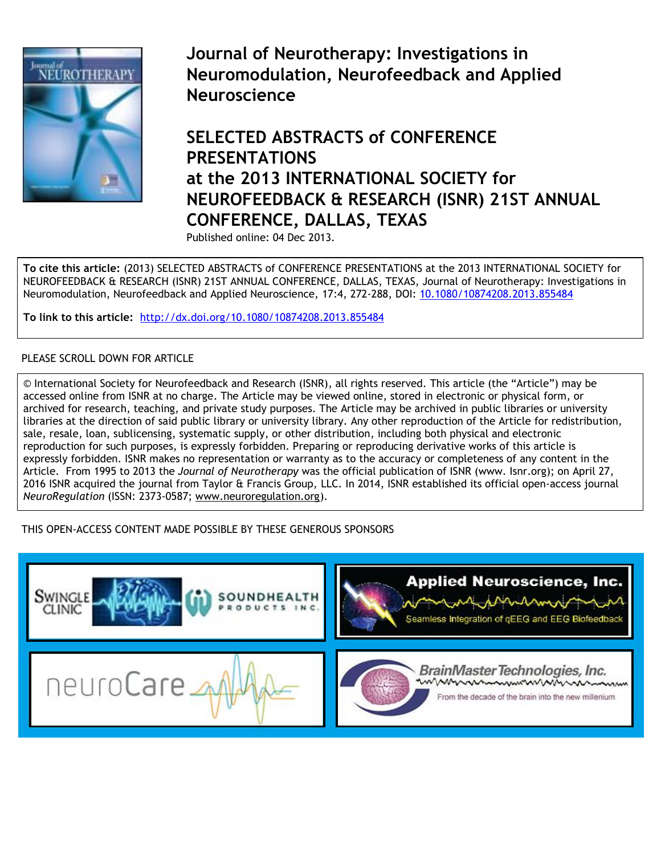

**Journal of Neurotherapy: Investigations in Neuromodulation, Neurofeedback and Applied Neuroscience** 

# **[SELECTED ABSTRACTS of C](http://www.tandfonline.com/loi/wneu20)ONFERENCE PRESENTATIONS at the 2013 INTERNATIONAL SOCIETY for NEUROFEEDBACK & RESEARCH (ISNR) 21ST ANNUAL CONFERENCE, DALLAS, TEXAS**

Published online: 04 Dec 2013.

**To cite this article:** (2013) SELECTED ABSTRACTS of CONFERENCE PRESENTATIONS at the 2013 INTERNATIONAL SOCIETY for NEUROFEEDBACK & RESEARCH (ISNR) 21ST ANNUAL CONFERENCE, DALLAS, TEXAS, Journal of Neurotherapy: Investigations in Neuromodulation, Neurofeedback and Applied Neuroscience, 17:4, 272-288, DOI: 10.1080/10874208.2013.855484

**To link to this article:** <http://dx.doi.org/10.1080/10874208.2013.855484>

# PLEASE SCROLL DOWN FOR ARTICLE

© International Society for Neurofeedback and Research (ISNR), all rights reserved. This article (the "Article") may be accessed online from ISNR at no charge. The Article may be viewed online, stored in electronic or physical form, or archived for research, teaching, and private study purposes. The Article may be archived in public libraries or university libraries at the direction of said public library or university library. Any other reproduction of the Article for redistribution, sale, resale, loan, sublicensing, systematic supply, or other distribution, including both physical and electronic reproduction for such purposes, is expressly forbidden. Preparing or reproducing derivative works of this article is expressly forbidden. ISNR makes no representation or warranty as to the accuracy or completeness of any content in the Article. From 1995 to 2013 the *Journal of Neurotherapy* was the official publication of ISNR (www. Isnr.org); on April 27, 2016 ISNR acquired the journal from Taylor & Francis Group, LLC. In 2014, ISNR established its official open-access journal *NeuroRegulation* (ISSN: 2373-0587; [www.neuroregulation.org\)](http://www.neuroregulation.org/).

THIS OPEN-ACCESS CONTENT MADE POSSIBLE BY THESE GENEROUS SPONSORS

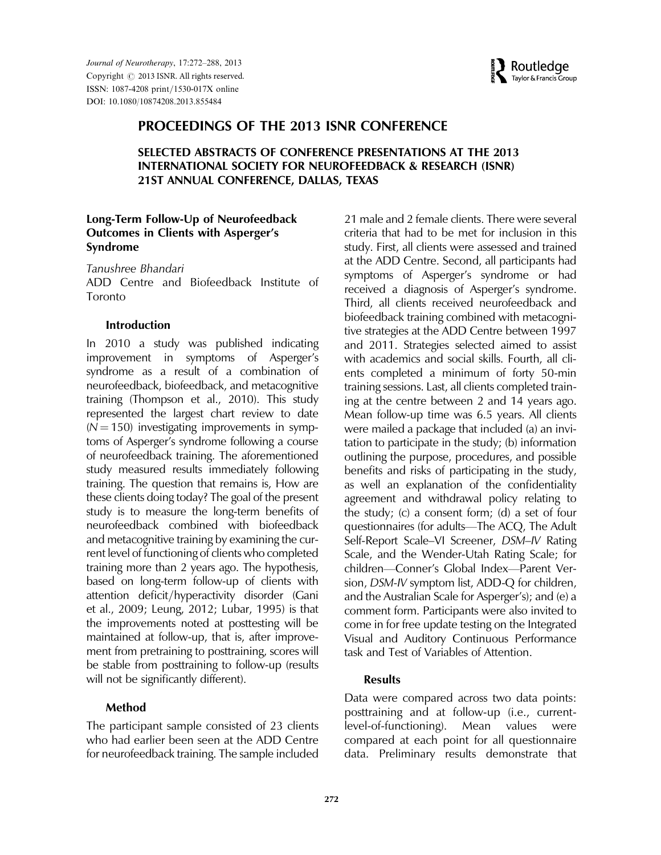# SELECTED ABSTRACTS OF CONFERENCE PRESENTATIONS AT THE 2013 INTERNATIONAL SOCIETY FOR NEUROFEEDBACK & RESEARCH (ISNR) 21ST ANNUAL CONFERENCE, DALLAS, TEXAS

# Long-Term Follow-Up of Neurofeedback Outcomes in Clients with Asperger's Syndrome

Tanushree Bhandari

ADD Centre and Biofeedback Institute of Toronto

### Introduction

In 2010 a study was published indicating improvement in symptoms of Asperger's syndrome as a result of a combination of neurofeedback, biofeedback, and metacognitive training (Thompson et al., 2010). This study represented the largest chart review to date  $(N = 150)$  investigating improvements in symptoms of Asperger's syndrome following a course of neurofeedback training. The aforementioned study measured results immediately following training. The question that remains is, How are these clients doing today? The goal of the present study is to measure the long-term benefits of neurofeedback combined with biofeedback and metacognitive training by examining the current level of functioning of clients who completed training more than 2 years ago. The hypothesis, based on long-term follow-up of clients with attention deficit/hyperactivity disorder (Gani et al., 2009; Leung, 2012; Lubar, 1995) is that the improvements noted at posttesting will be maintained at follow-up, that is, after improvement from pretraining to posttraining, scores will be stable from posttraining to follow-up (results will not be significantly different).

# Method

The participant sample consisted of 23 clients who had earlier been seen at the ADD Centre for neurofeedback training. The sample included 21 male and 2 female clients. There were several criteria that had to be met for inclusion in this study. First, all clients were assessed and trained at the ADD Centre. Second, all participants had symptoms of Asperger's syndrome or had received a diagnosis of Asperger's syndrome. Third, all clients received neurofeedback and biofeedback training combined with metacognitive strategies at the ADD Centre between 1997 and 2011. Strategies selected aimed to assist with academics and social skills. Fourth, all clients completed a minimum of forty 50-min training sessions. Last, all clients completed training at the centre between 2 and 14 years ago. Mean follow-up time was 6.5 years. All clients were mailed a package that included (a) an invitation to participate in the study; (b) information outlining the purpose, procedures, and possible benefits and risks of participating in the study, as well an explanation of the confidentiality agreement and withdrawal policy relating to the study; (c) a consent form; (d) a set of four questionnaires (for adults—The ACQ, The Adult Self-Report Scale–VI Screener, DSM–IV Rating Scale, and the Wender-Utah Rating Scale; for children—Conner's Global Index—Parent Version, DSM-IV symptom list, ADD-Q for children, and the Australian Scale for Asperger's); and (e) a comment form. Participants were also invited to come in for free update testing on the Integrated Visual and Auditory Continuous Performance task and Test of Variables of Attention.

# Results

Data were compared across two data points: posttraining and at follow-up (i.e., currentlevel-of-functioning). Mean values were compared at each point for all questionnaire data. Preliminary results demonstrate that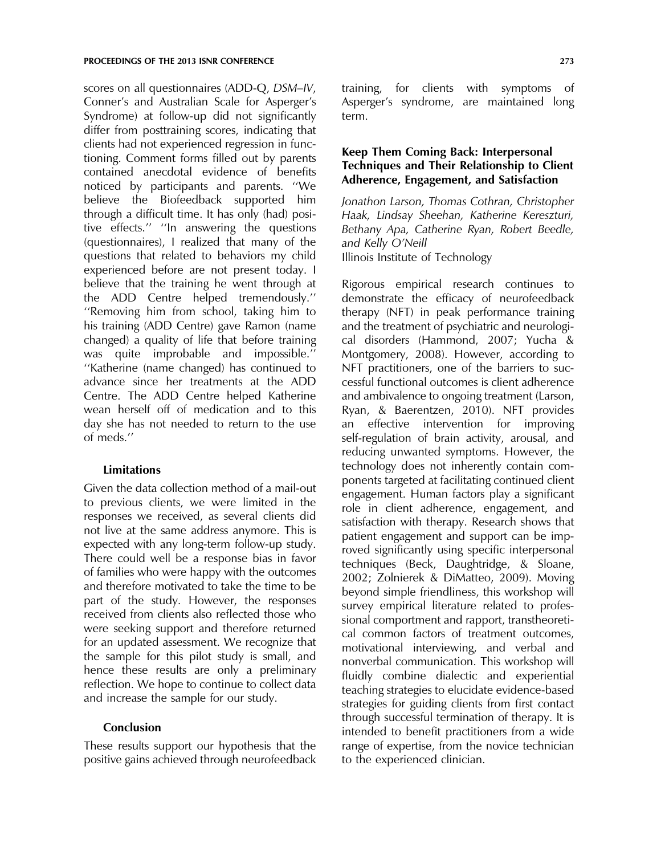scores on all questionnaires (ADD-Q, DSM–IV, Conner's and Australian Scale for Asperger's Syndrome) at follow-up did not significantly differ from posttraining scores, indicating that clients had not experienced regression in functioning. Comment forms filled out by parents contained anecdotal evidence of benefits noticed by participants and parents. ''We believe the Biofeedback supported him through a difficult time. It has only (had) positive effects.'' ''In answering the questions (questionnaires), I realized that many of the questions that related to behaviors my child experienced before are not present today. I believe that the training he went through at the ADD Centre helped tremendously.'' ''Removing him from school, taking him to his training (ADD Centre) gave Ramon (name changed) a quality of life that before training was quite improbable and impossible.'' ''Katherine (name changed) has continued to advance since her treatments at the ADD Centre. The ADD Centre helped Katherine wean herself off of medication and to this day she has not needed to return to the use of meds.''

# Limitations

Given the data collection method of a mail-out to previous clients, we were limited in the responses we received, as several clients did not live at the same address anymore. This is expected with any long-term follow-up study. There could well be a response bias in favor of families who were happy with the outcomes and therefore motivated to take the time to be part of the study. However, the responses received from clients also reflected those who were seeking support and therefore returned for an updated assessment. We recognize that the sample for this pilot study is small, and hence these results are only a preliminary reflection. We hope to continue to collect data and increase the sample for our study.

#### Conclusion

These results support our hypothesis that the positive gains achieved through neurofeedback training, for clients with symptoms of Asperger's syndrome, are maintained long term.

# Keep Them Coming Back: Interpersonal Techniques and Their Relationship to Client Adherence, Engagement, and Satisfaction

Jonathon Larson, Thomas Cothran, Christopher Haak, Lindsay Sheehan, Katherine Kereszturi, Bethany Apa, Catherine Ryan, Robert Beedle, and Kelly O'Neill Illinois Institute of Technology

Rigorous empirical research continues to demonstrate the efficacy of neurofeedback therapy (NFT) in peak performance training and the treatment of psychiatric and neurological disorders (Hammond, 2007; Yucha & Montgomery, 2008). However, according to NFT practitioners, one of the barriers to successful functional outcomes is client adherence and ambivalence to ongoing treatment (Larson, Ryan, & Baerentzen, 2010). NFT provides an effective intervention for improving self-regulation of brain activity, arousal, and reducing unwanted symptoms. However, the technology does not inherently contain components targeted at facilitating continued client engagement. Human factors play a significant role in client adherence, engagement, and satisfaction with therapy. Research shows that patient engagement and support can be improved significantly using specific interpersonal techniques (Beck, Daughtridge, & Sloane, 2002; Zolnierek & DiMatteo, 2009). Moving beyond simple friendliness, this workshop will survey empirical literature related to professional comportment and rapport, transtheoretical common factors of treatment outcomes, motivational interviewing, and verbal and nonverbal communication. This workshop will fluidly combine dialectic and experiential teaching strategies to elucidate evidence-based strategies for guiding clients from first contact through successful termination of therapy. It is intended to benefit practitioners from a wide range of expertise, from the novice technician to the experienced clinician.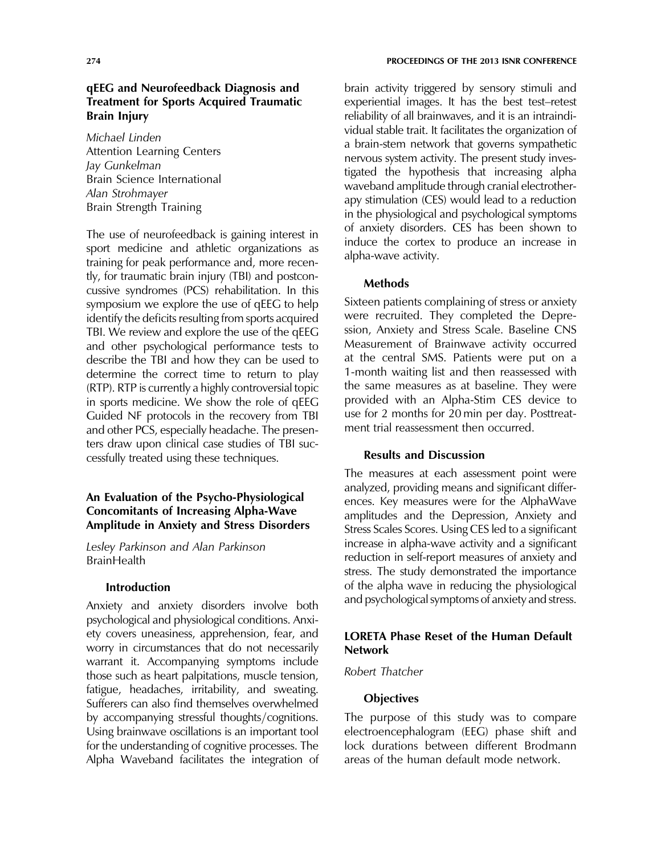# qEEG and Neurofeedback Diagnosis and Treatment for Sports Acquired Traumatic Brain Injury

Michael Linden Attention Learning Centers Jay Gunkelman Brain Science International Alan Strohmayer Brain Strength Training

The use of neurofeedback is gaining interest in sport medicine and athletic organizations as training for peak performance and, more recently, for traumatic brain injury (TBI) and postconcussive syndromes (PCS) rehabilitation. In this symposium we explore the use of qEEG to help identify the deficits resulting from sports acquired TBI. We review and explore the use of the qEEG and other psychological performance tests to describe the TBI and how they can be used to determine the correct time to return to play (RTP). RTP is currently a highly controversial topic in sports medicine. We show the role of qEEG Guided NF protocols in the recovery from TBI and other PCS, especially headache. The presenters draw upon clinical case studies of TBI successfully treated using these techniques.

# An Evaluation of the Psycho-Physiological Concomitants of Increasing Alpha-Wave Amplitude in Anxiety and Stress Disorders

Lesley Parkinson and Alan Parkinson **BrainHealth** 

# Introduction

Anxiety and anxiety disorders involve both psychological and physiological conditions. Anxiety covers uneasiness, apprehension, fear, and worry in circumstances that do not necessarily warrant it. Accompanying symptoms include those such as heart palpitations, muscle tension, fatigue, headaches, irritability, and sweating. Sufferers can also find themselves overwhelmed by accompanying stressful thoughts/cognitions. Using brainwave oscillations is an important tool for the understanding of cognitive processes. The Alpha Waveband facilitates the integration of

brain activity triggered by sensory stimuli and experiential images. It has the best test–retest reliability of all brainwaves, and it is an intraindividual stable trait. It facilitates the organization of a brain-stem network that governs sympathetic nervous system activity. The present study investigated the hypothesis that increasing alpha waveband amplitude through cranial electrotherapy stimulation (CES) would lead to a reduction in the physiological and psychological symptoms of anxiety disorders. CES has been shown to induce the cortex to produce an increase in alpha-wave activity.

#### **Methods**

Sixteen patients complaining of stress or anxiety were recruited. They completed the Depression, Anxiety and Stress Scale. Baseline CNS Measurement of Brainwave activity occurred at the central SMS. Patients were put on a 1-month waiting list and then reassessed with the same measures as at baseline. They were provided with an Alpha-Stim CES device to use for 2 months for 20 min per day. Posttreatment trial reassessment then occurred.

### Results and Discussion

The measures at each assessment point were analyzed, providing means and significant differences. Key measures were for the AlphaWave amplitudes and the Depression, Anxiety and Stress Scales Scores. Using CES led to a significant increase in alpha-wave activity and a significant reduction in self-report measures of anxiety and stress. The study demonstrated the importance of the alpha wave in reducing the physiological and psychological symptoms of anxiety and stress.

# LORETA Phase Reset of the Human Default Network

### Robert Thatcher

### **Objectives**

The purpose of this study was to compare electroencephalogram (EEG) phase shift and lock durations between different Brodmann areas of the human default mode network.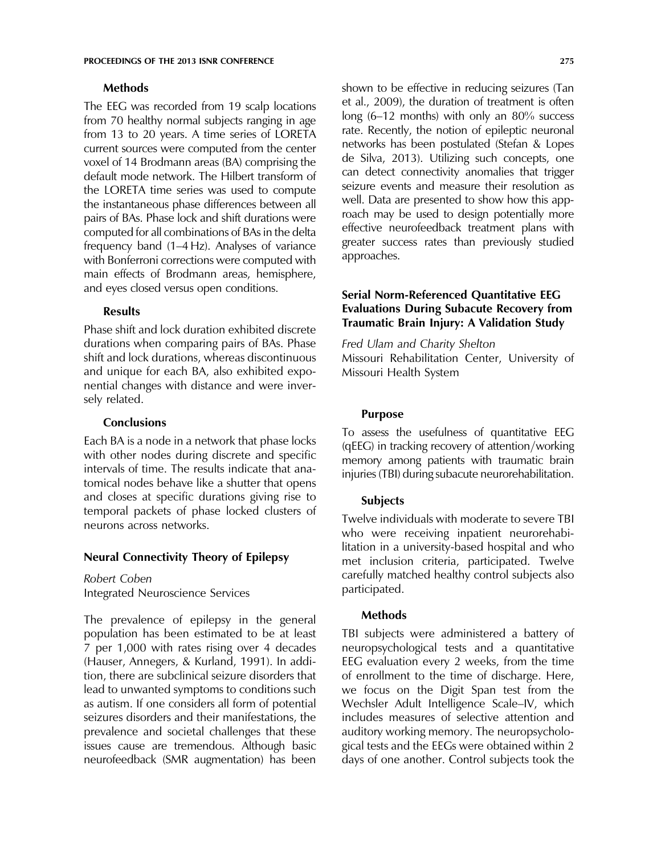#### Methods

The EEG was recorded from 19 scalp locations from 70 healthy normal subjects ranging in age from 13 to 20 years. A time series of LORETA current sources were computed from the center voxel of 14 Brodmann areas (BA) comprising the default mode network. The Hilbert transform of the LORETA time series was used to compute the instantaneous phase differences between all pairs of BAs. Phase lock and shift durations were computed for all combinations of BAs in the delta frequency band (1–4 Hz). Analyses of variance with Bonferroni corrections were computed with main effects of Brodmann areas, hemisphere, and eyes closed versus open conditions.

# Results

Phase shift and lock duration exhibited discrete durations when comparing pairs of BAs. Phase shift and lock durations, whereas discontinuous and unique for each BA, also exhibited exponential changes with distance and were inversely related.

### **Conclusions**

Each BA is a node in a network that phase locks with other nodes during discrete and specific intervals of time. The results indicate that anatomical nodes behave like a shutter that opens and closes at specific durations giving rise to temporal packets of phase locked clusters of neurons across networks.

#### Neural Connectivity Theory of Epilepsy

Robert Coben Integrated Neuroscience Services

The prevalence of epilepsy in the general population has been estimated to be at least 7 per 1,000 with rates rising over 4 decades (Hauser, Annegers, & Kurland, 1991). In addition, there are subclinical seizure disorders that lead to unwanted symptoms to conditions such as autism. If one considers all form of potential seizures disorders and their manifestations, the prevalence and societal challenges that these issues cause are tremendous. Although basic neurofeedback (SMR augmentation) has been shown to be effective in reducing seizures (Tan et al., 2009), the duration of treatment is often long (6–12 months) with only an 80% success rate. Recently, the notion of epileptic neuronal networks has been postulated (Stefan & Lopes de Silva, 2013). Utilizing such concepts, one can detect connectivity anomalies that trigger seizure events and measure their resolution as well. Data are presented to show how this approach may be used to design potentially more effective neurofeedback treatment plans with greater success rates than previously studied approaches.

# Serial Norm-Referenced Quantitative EEG Evaluations During Subacute Recovery from Traumatic Brain Injury: A Validation Study

Fred Ulam and Charity Shelton Missouri Rehabilitation Center, University of Missouri Health System

#### Purpose

To assess the usefulness of quantitative EEG  $(qEEG)$  in tracking recovery of attention/working memory among patients with traumatic brain injuries (TBI) during subacute neurorehabilitation.

#### **Subjects**

Twelve individuals with moderate to severe TBI who were receiving inpatient neurorehabilitation in a university-based hospital and who met inclusion criteria, participated. Twelve carefully matched healthy control subjects also participated.

#### **Methods**

TBI subjects were administered a battery of neuropsychological tests and a quantitative EEG evaluation every 2 weeks, from the time of enrollment to the time of discharge. Here, we focus on the Digit Span test from the Wechsler Adult Intelligence Scale–IV, which includes measures of selective attention and auditory working memory. The neuropsychological tests and the EEGs were obtained within 2 days of one another. Control subjects took the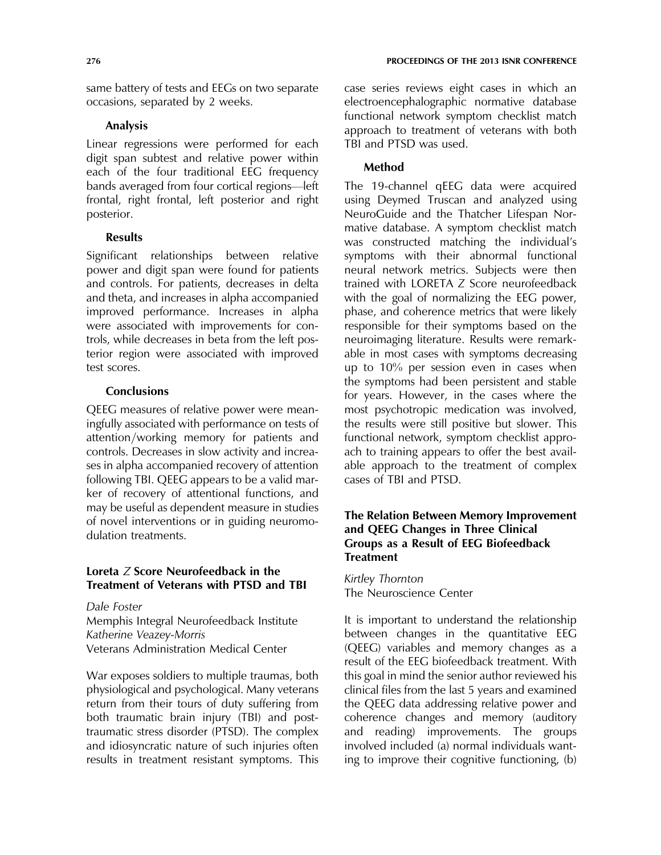same battery of tests and EEGs on two separate occasions, separated by 2 weeks.

# Analysis

Linear regressions were performed for each digit span subtest and relative power within each of the four traditional EEG frequency bands averaged from four cortical regions—left frontal, right frontal, left posterior and right posterior.

# Results

Significant relationships between relative power and digit span were found for patients and controls. For patients, decreases in delta and theta, and increases in alpha accompanied improved performance. Increases in alpha were associated with improvements for controls, while decreases in beta from the left posterior region were associated with improved test scores.

# **Conclusions**

QEEG measures of relative power were meaningfully associated with performance on tests of attention/working memory for patients and controls. Decreases in slow activity and increases in alpha accompanied recovery of attention following TBI. QEEG appears to be a valid marker of recovery of attentional functions, and may be useful as dependent measure in studies of novel interventions or in guiding neuromodulation treatments.

# Loreta *Z* Score Neurofeedback in the Treatment of Veterans with PTSD and TBI

Dale Foster Memphis Integral Neurofeedback Institute Katherine Veazey-Morris Veterans Administration Medical Center

War exposes soldiers to multiple traumas, both physiological and psychological. Many veterans return from their tours of duty suffering from both traumatic brain injury (TBI) and posttraumatic stress disorder (PTSD). The complex and idiosyncratic nature of such injuries often results in treatment resistant symptoms. This

case series reviews eight cases in which an electroencephalographic normative database functional network symptom checklist match approach to treatment of veterans with both TBI and PTSD was used.

# Method

The 19-channel qEEG data were acquired using Deymed Truscan and analyzed using NeuroGuide and the Thatcher Lifespan Normative database. A symptom checklist match was constructed matching the individual's symptoms with their abnormal functional neural network metrics. Subjects were then trained with LORETA Z Score neurofeedback with the goal of normalizing the EEG power, phase, and coherence metrics that were likely responsible for their symptoms based on the neuroimaging literature. Results were remarkable in most cases with symptoms decreasing up to 10% per session even in cases when the symptoms had been persistent and stable for years. However, in the cases where the most psychotropic medication was involved, the results were still positive but slower. This functional network, symptom checklist approach to training appears to offer the best available approach to the treatment of complex cases of TBI and PTSD.

# The Relation Between Memory Improvement and QEEG Changes in Three Clinical Groups as a Result of EEG Biofeedback **Treatment**

Kirtley Thornton The Neuroscience Center

It is important to understand the relationship between changes in the quantitative EEG (QEEG) variables and memory changes as a result of the EEG biofeedback treatment. With this goal in mind the senior author reviewed his clinical files from the last 5 years and examined the QEEG data addressing relative power and coherence changes and memory (auditory and reading) improvements. The groups involved included (a) normal individuals wanting to improve their cognitive functioning, (b)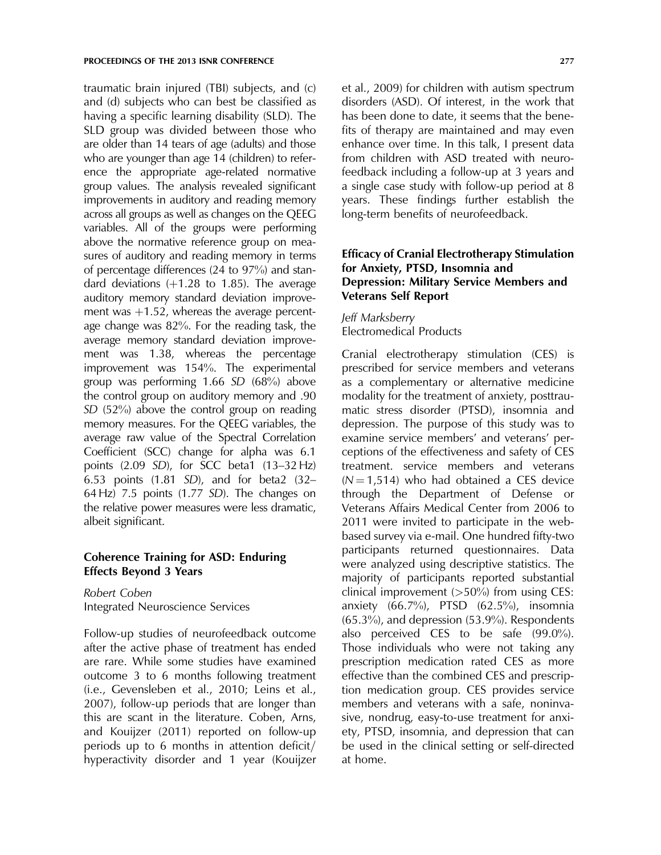traumatic brain injured (TBI) subjects, and (c) and (d) subjects who can best be classified as having a specific learning disability (SLD). The SLD group was divided between those who are older than 14 tears of age (adults) and those who are younger than age 14 (children) to reference the appropriate age-related normative group values. The analysis revealed significant improvements in auditory and reading memory across all groups as well as changes on the QEEG variables. All of the groups were performing above the normative reference group on measures of auditory and reading memory in terms of percentage differences (24 to 97%) and standard deviations  $(+1.28$  to 1.85). The average auditory memory standard deviation improvement was  $+1.52$ , whereas the average percentage change was 82%. For the reading task, the average memory standard deviation improvement was 1.38, whereas the percentage improvement was 154%. The experimental group was performing 1.66 SD (68%) above the control group on auditory memory and .90 SD (52%) above the control group on reading memory measures. For the QEEG variables, the average raw value of the Spectral Correlation Coefficient (SCC) change for alpha was 6.1 points (2.09 SD), for SCC beta1 (13–32 Hz) 6.53 points (1.81 SD), and for beta2 (32– 64 Hz) 7.5 points (1.77 SD). The changes on the relative power measures were less dramatic, albeit significant.

# Coherence Training for ASD: Enduring Effects Beyond 3 Years

Robert Coben Integrated Neuroscience Services

Follow-up studies of neurofeedback outcome after the active phase of treatment has ended are rare. While some studies have examined outcome 3 to 6 months following treatment (i.e., Gevensleben et al., 2010; Leins et al., 2007), follow-up periods that are longer than this are scant in the literature. Coben, Arns, and Kouijzer (2011) reported on follow-up periods up to 6 months in attention deficit/ hyperactivity disorder and 1 year (Kouijzer et al., 2009) for children with autism spectrum disorders (ASD). Of interest, in the work that has been done to date, it seems that the benefits of therapy are maintained and may even enhance over time. In this talk, I present data from children with ASD treated with neurofeedback including a follow-up at 3 years and a single case study with follow-up period at 8 years. These findings further establish the long-term benefits of neurofeedback.

# Efficacy of Cranial Electrotherapy Stimulation for Anxiety, PTSD, Insomnia and Depression: Military Service Members and Veterans Self Report

Jeff Marksberry Electromedical Products

Cranial electrotherapy stimulation (CES) is prescribed for service members and veterans as a complementary or alternative medicine modality for the treatment of anxiety, posttraumatic stress disorder (PTSD), insomnia and depression. The purpose of this study was to examine service members' and veterans' perceptions of the effectiveness and safety of CES treatment. service members and veterans  $(N = 1,514)$  who had obtained a CES device through the Department of Defense or Veterans Affairs Medical Center from 2006 to 2011 were invited to participate in the webbased survey via e-mail. One hundred fifty-two participants returned questionnaires. Data were analyzed using descriptive statistics. The majority of participants reported substantial clinical improvement (>50%) from using CES: anxiety (66.7%), PTSD (62.5%), insomnia (65.3%), and depression (53.9%). Respondents also perceived CES to be safe (99.0%). Those individuals who were not taking any prescription medication rated CES as more effective than the combined CES and prescription medication group. CES provides service members and veterans with a safe, noninvasive, nondrug, easy-to-use treatment for anxiety, PTSD, insomnia, and depression that can be used in the clinical setting or self-directed at home.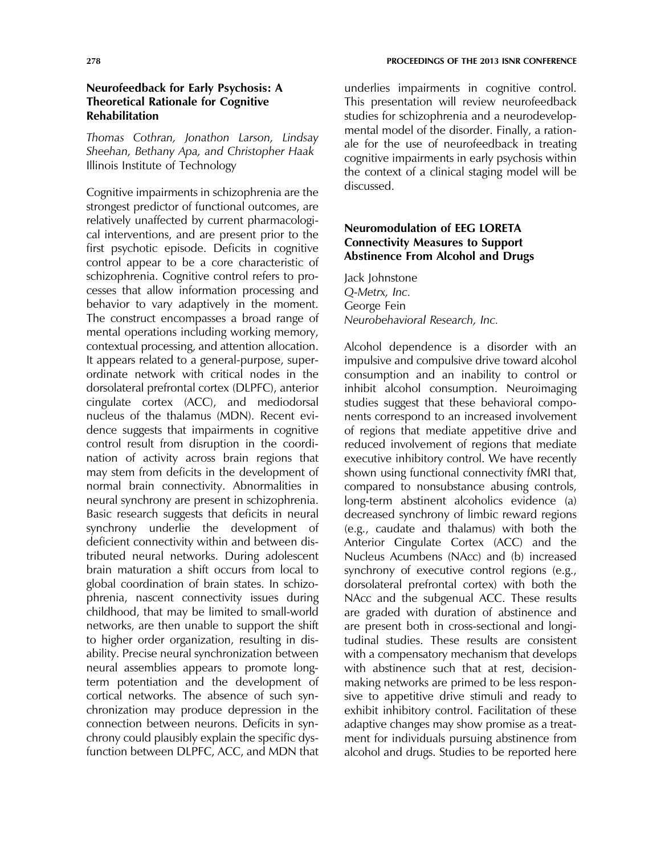# Neurofeedback for Early Psychosis: A Theoretical Rationale for Cognitive Rehabilitation

Thomas Cothran, Jonathon Larson, Lindsay Sheehan, Bethany Apa, and Christopher Haak Illinois Institute of Technology

Cognitive impairments in schizophrenia are the strongest predictor of functional outcomes, are relatively unaffected by current pharmacological interventions, and are present prior to the first psychotic episode. Deficits in cognitive control appear to be a core characteristic of schizophrenia. Cognitive control refers to processes that allow information processing and behavior to vary adaptively in the moment. The construct encompasses a broad range of mental operations including working memory, contextual processing, and attention allocation. It appears related to a general-purpose, superordinate network with critical nodes in the dorsolateral prefrontal cortex (DLPFC), anterior cingulate cortex (ACC), and mediodorsal nucleus of the thalamus (MDN). Recent evidence suggests that impairments in cognitive control result from disruption in the coordination of activity across brain regions that may stem from deficits in the development of normal brain connectivity. Abnormalities in neural synchrony are present in schizophrenia. Basic research suggests that deficits in neural synchrony underlie the development of deficient connectivity within and between distributed neural networks. During adolescent brain maturation a shift occurs from local to global coordination of brain states. In schizophrenia, nascent connectivity issues during childhood, that may be limited to small-world networks, are then unable to support the shift to higher order organization, resulting in disability. Precise neural synchronization between neural assemblies appears to promote longterm potentiation and the development of cortical networks. The absence of such synchronization may produce depression in the connection between neurons. Deficits in synchrony could plausibly explain the specific dysfunction between DLPFC, ACC, and MDN that underlies impairments in cognitive control. This presentation will review neurofeedback studies for schizophrenia and a neurodevelopmental model of the disorder. Finally, a rationale for the use of neurofeedback in treating cognitive impairments in early psychosis within the context of a clinical staging model will be discussed.

# Neuromodulation of EEG LORETA Connectivity Measures to Support Abstinence From Alcohol and Drugs

Jack Johnstone Q-Metrx, Inc. George Fein Neurobehavioral Research, Inc.

Alcohol dependence is a disorder with an impulsive and compulsive drive toward alcohol consumption and an inability to control or inhibit alcohol consumption. Neuroimaging studies suggest that these behavioral components correspond to an increased involvement of regions that mediate appetitive drive and reduced involvement of regions that mediate executive inhibitory control. We have recently shown using functional connectivity fMRI that, compared to nonsubstance abusing controls, long-term abstinent alcoholics evidence (a) decreased synchrony of limbic reward regions (e.g., caudate and thalamus) with both the Anterior Cingulate Cortex (ACC) and the Nucleus Acumbens (NAcc) and (b) increased synchrony of executive control regions (e.g., dorsolateral prefrontal cortex) with both the NAcc and the subgenual ACC. These results are graded with duration of abstinence and are present both in cross-sectional and longitudinal studies. These results are consistent with a compensatory mechanism that develops with abstinence such that at rest, decisionmaking networks are primed to be less responsive to appetitive drive stimuli and ready to exhibit inhibitory control. Facilitation of these adaptive changes may show promise as a treatment for individuals pursuing abstinence from alcohol and drugs. Studies to be reported here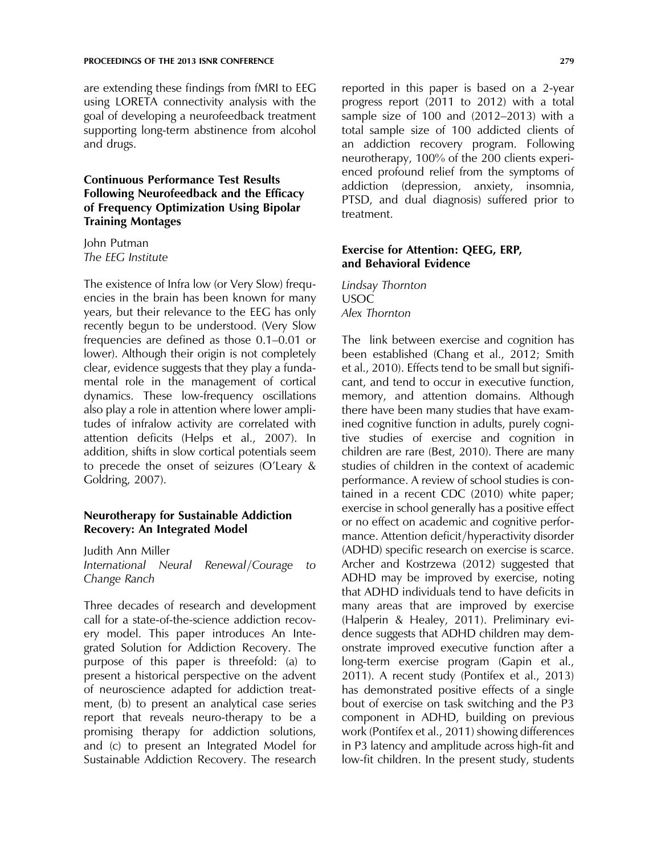are extending these findings from fMRI to EEG using LORETA connectivity analysis with the goal of developing a neurofeedback treatment supporting long-term abstinence from alcohol and drugs.

# Continuous Performance Test Results Following Neurofeedback and the Efficacy of Frequency Optimization Using Bipolar Training Montages

John Putman The EEG Institute

The existence of Infra low (or Very Slow) frequencies in the brain has been known for many years, but their relevance to the EEG has only recently begun to be understood. (Very Slow frequencies are defined as those 0.1–0.01 or lower). Although their origin is not completely clear, evidence suggests that they play a fundamental role in the management of cortical dynamics. These low-frequency oscillations also play a role in attention where lower amplitudes of infralow activity are correlated with attention deficits (Helps et al., 2007). In addition, shifts in slow cortical potentials seem to precede the onset of seizures (O'Leary & Goldring, 2007).

### Neurotherapy for Sustainable Addiction Recovery: An Integrated Model

Judith Ann Miller

International Neural Renewal/Courage to Change Ranch

Three decades of research and development call for a state-of-the-science addiction recovery model. This paper introduces An Integrated Solution for Addiction Recovery. The purpose of this paper is threefold: (a) to present a historical perspective on the advent of neuroscience adapted for addiction treatment, (b) to present an analytical case series report that reveals neuro-therapy to be a promising therapy for addiction solutions, and (c) to present an Integrated Model for Sustainable Addiction Recovery. The research reported in this paper is based on a 2-year progress report (2011 to 2012) with a total sample size of 100 and (2012–2013) with a total sample size of 100 addicted clients of an addiction recovery program. Following neurotherapy, 100% of the 200 clients experienced profound relief from the symptoms of addiction (depression, anxiety, insomnia, PTSD, and dual diagnosis) suffered prior to treatment.

# Exercise for Attention: QEEG, ERP, and Behavioral Evidence

Lindsay Thornton USOC Alex Thornton

The link between exercise and cognition has been established (Chang et al., 2012; Smith et al., 2010). Effects tend to be small but significant, and tend to occur in executive function, memory, and attention domains. Although there have been many studies that have examined cognitive function in adults, purely cognitive studies of exercise and cognition in children are rare (Best, 2010). There are many studies of children in the context of academic performance. A review of school studies is contained in a recent CDC (2010) white paper; exercise in school generally has a positive effect or no effect on academic and cognitive performance. Attention deficit/hyperactivity disorder (ADHD) specific research on exercise is scarce. Archer and Kostrzewa (2012) suggested that ADHD may be improved by exercise, noting that ADHD individuals tend to have deficits in many areas that are improved by exercise (Halperin & Healey, 2011). Preliminary evidence suggests that ADHD children may demonstrate improved executive function after a long-term exercise program (Gapin et al., 2011). A recent study (Pontifex et al., 2013) has demonstrated positive effects of a single bout of exercise on task switching and the P3 component in ADHD, building on previous work (Pontifex et al., 2011) showing differences in P3 latency and amplitude across high-fit and low-fit children. In the present study, students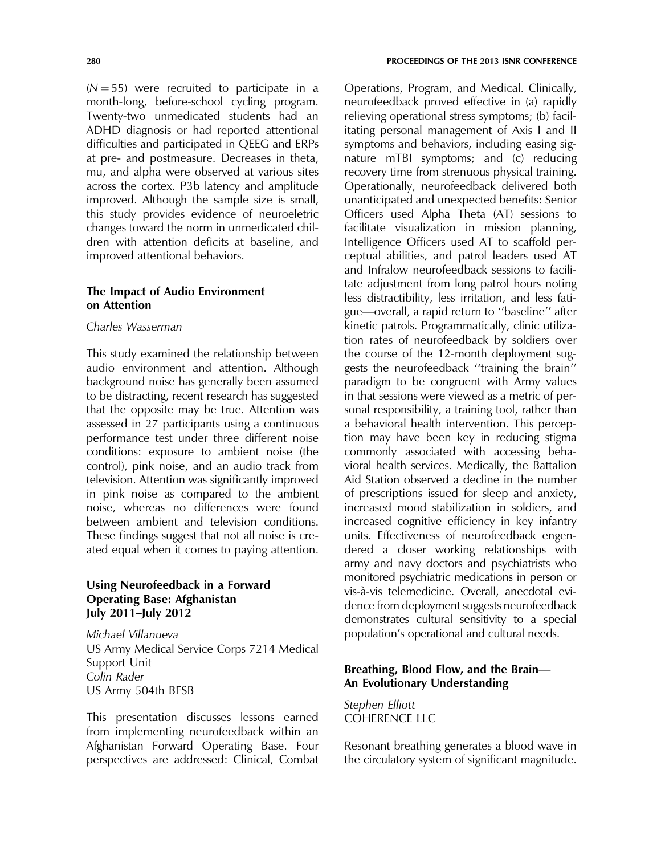$(N = 55)$  were recruited to participate in a month-long, before-school cycling program. Twenty-two unmedicated students had an ADHD diagnosis or had reported attentional difficulties and participated in QEEG and ERPs at pre- and postmeasure. Decreases in theta, mu, and alpha were observed at various sites across the cortex. P3b latency and amplitude improved. Although the sample size is small, this study provides evidence of neuroeletric changes toward the norm in unmedicated children with attention deficits at baseline, and improved attentional behaviors.

# The Impact of Audio Environment on Attention

#### Charles Wasserman

This study examined the relationship between audio environment and attention. Although background noise has generally been assumed to be distracting, recent research has suggested that the opposite may be true. Attention was assessed in 27 participants using a continuous performance test under three different noise conditions: exposure to ambient noise (the control), pink noise, and an audio track from television. Attention was significantly improved in pink noise as compared to the ambient noise, whereas no differences were found between ambient and television conditions. These findings suggest that not all noise is created equal when it comes to paying attention.

### Using Neurofeedback in a Forward Operating Base: Afghanistan July 2011–July 2012

Michael Villanueva US Army Medical Service Corps 7214 Medical Support Unit Colin Rader US Army 504th BFSB

This presentation discusses lessons earned from implementing neurofeedback within an Afghanistan Forward Operating Base. Four perspectives are addressed: Clinical, Combat

Operations, Program, and Medical. Clinically, neurofeedback proved effective in (a) rapidly relieving operational stress symptoms; (b) facilitating personal management of Axis I and II symptoms and behaviors, including easing signature mTBI symptoms; and (c) reducing recovery time from strenuous physical training. Operationally, neurofeedback delivered both unanticipated and unexpected benefits: Senior Officers used Alpha Theta (AT) sessions to facilitate visualization in mission planning, Intelligence Officers used AT to scaffold perceptual abilities, and patrol leaders used AT and Infralow neurofeedback sessions to facilitate adjustment from long patrol hours noting less distractibility, less irritation, and less fatigue—overall, a rapid return to ''baseline'' after kinetic patrols. Programmatically, clinic utilization rates of neurofeedback by soldiers over the course of the 12-month deployment suggests the neurofeedback ''training the brain'' paradigm to be congruent with Army values in that sessions were viewed as a metric of personal responsibility, a training tool, rather than a behavioral health intervention. This perception may have been key in reducing stigma commonly associated with accessing behavioral health services. Medically, the Battalion Aid Station observed a decline in the number of prescriptions issued for sleep and anxiety, increased mood stabilization in soldiers, and increased cognitive efficiency in key infantry units. Effectiveness of neurofeedback engendered a closer working relationships with army and navy doctors and psychiatrists who monitored psychiatric medications in person or vis-à-vis telemedicine. Overall, anecdotal evidence from deployment suggests neurofeedback demonstrates cultural sensitivity to a special population's operational and cultural needs.

# Breathing, Blood Flow, and the Brain— An Evolutionary Understanding

Stephen Elliott COHERENCE LLC

Resonant breathing generates a blood wave in the circulatory system of significant magnitude.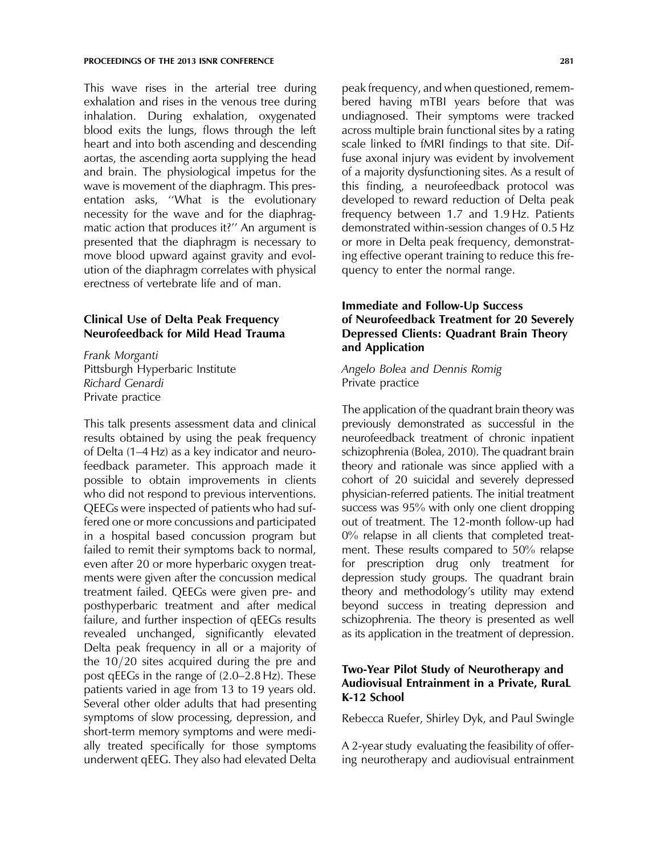This wave rises in the arterial tree during exhalation and rises in the venous tree during inhalation. During exhalation, oxygenated blood exits the lungs, flows through the left heart and into both ascending and descending aortas, the ascending aorta supplying the head and brain. The physiological impetus for the wave is movement of the diaphragm. This presentation asks, ''What is the evolutionary necessity for the wave and for the diaphragmatic action that produces it?'' An argument is presented that the diaphragm is necessary to move blood upward against gravity and evolution of the diaphragm correlates with physical erectness of vertebrate life and of man.

### Clinical Use of Delta Peak Frequency Neurofeedback for Mild Head Trauma

Frank Morganti Pittsburgh Hyperbaric Institute Richard Genardi Private practice

This talk presents assessment data and clinical results obtained by using the peak frequency of Delta (1–4 Hz) as a key indicator and neurofeedback parameter. This approach made it possible to obtain improvements in clients who did not respond to previous interventions. QEEGs were inspected of patients who had suffered one or more concussions and participated in a hospital based concussion program but failed to remit their symptoms back to normal, even after 20 or more hyperbaric oxygen treatments were given after the concussion medical treatment failed. QEEGs were given pre- and posthyperbaric treatment and after medical failure, and further inspection of qEEGs results revealed unchanged, significantly elevated Delta peak frequency in all or a majority of the  $10/20$  sites acquired during the pre and post qEEGs in the range of (2.0–2.8 Hz). These patients varied in age from 13 to 19 years old. Several other older adults that had presenting symptoms of slow processing, depression, and short-term memory symptoms and were medially treated specifically for those symptoms underwent qEEG. They also had elevated Delta peak frequency, and when questioned, remembered having mTBI years before that was undiagnosed. Their symptoms were tracked across multiple brain functional sites by a rating scale linked to fMRI findings to that site. Diffuse axonal injury was evident by involvement of a majority dysfunctioning sites. As a result of this finding, a neurofeedback protocol was developed to reward reduction of Delta peak frequency between 1.7 and 1.9 Hz. Patients demonstrated within-session changes of 0.5 Hz or more in Delta peak frequency, demonstrating effective operant training to reduce this frequency to enter the normal range.

# Immediate and Follow-Up Success of Neurofeedback Treatment for 20 Severely Depressed Clients: Quadrant Brain Theory and Application

Angelo Bolea and Dennis Romig Private practice

The application of the quadrant brain theory was previously demonstrated as successful in the neurofeedback treatment of chronic inpatient schizophrenia (Bolea, 2010). The quadrant brain theory and rationale was since applied with a cohort of 20 suicidal and severely depressed physician-referred patients. The initial treatment success was 95% with only one client dropping out of treatment. The 12-month follow-up had 0% relapse in all clients that completed treatment. These results compared to 50% relapse for prescription drug only treatment for depression study groups. The quadrant brain theory and methodology's utility may extend beyond success in treating depression and schizophrenia. The theory is presented as well as its application in the treatment of depression.

# Two-Year Pilot Study of Neurotherapy and Audiovisual Entrainment in a Private, RuraL K-12 School

Rebecca Ruefer, Shirley Dyk, and Paul Swingle

A 2-year study evaluating the feasibility of offering neurotherapy and audiovisual entrainment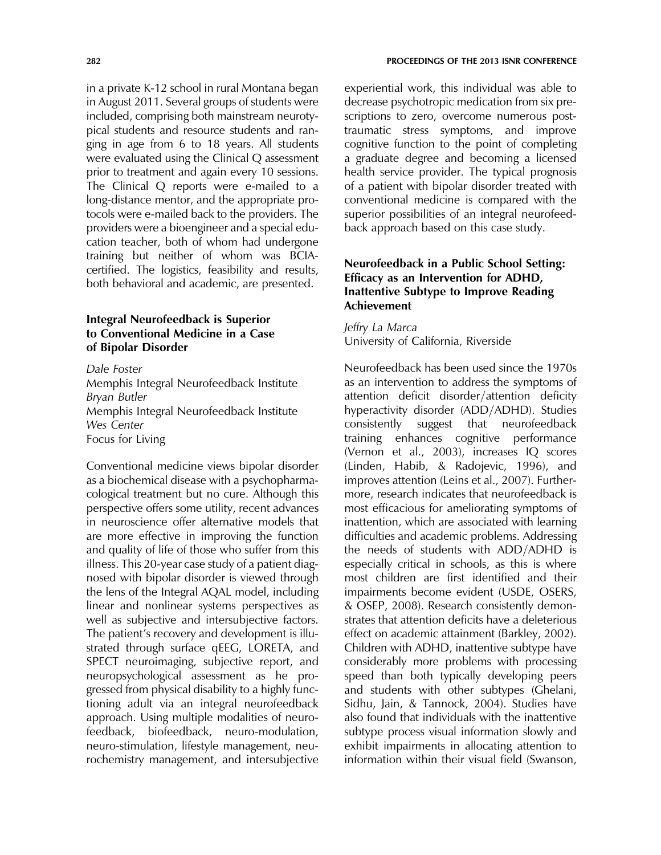in a private K-12 school in rural Montana began in August 2011. Several groups of students were included, comprising both mainstream neurotypical students and resource students and ranging in age from 6 to 18 years. All students were evaluated using the Clinical Q assessment prior to treatment and again every 10 sessions. The Clinical Q reports were e-mailed to a long-distance mentor, and the appropriate protocols were e-mailed back to the providers. The providers were a bioengineer and a special education teacher, both of whom had undergone training but neither of whom was BCIAcertified. The logistics, feasibility and results, both behavioral and academic, are presented.

# Integral Neurofeedback is Superior to Conventional Medicine in a Case of Bipolar Disorder

Dale Foster Memphis Integral Neurofeedback Institute Bryan Butler Memphis Integral Neurofeedback Institute Wes Center Focus for Living

Conventional medicine views bipolar disorder as a biochemical disease with a psychopharmacological treatment but no cure. Although this perspective offers some utility, recent advances in neuroscience offer alternative models that are more effective in improving the function and quality of life of those who suffer from this illness. This 20-year case study of a patient diagnosed with bipolar disorder is viewed through the lens of the Integral AQAL model, including linear and nonlinear systems perspectives as well as subjective and intersubjective factors. The patient's recovery and development is illustrated through surface qEEG, LORETA, and SPECT neuroimaging, subjective report, and neuropsychological assessment as he progressed from physical disability to a highly functioning adult via an integral neurofeedback approach. Using multiple modalities of neurofeedback, biofeedback, neuro-modulation, neuro-stimulation, lifestyle management, neurochemistry management, and intersubjective

experiential work, this individual was able to decrease psychotropic medication from six prescriptions to zero, overcome numerous posttraumatic stress symptoms, and improve cognitive function to the point of completing a graduate degree and becoming a licensed health service provider. The typical prognosis of a patient with bipolar disorder treated with conventional medicine is compared with the superior possibilities of an integral neurofeedback approach based on this case study.

# Neurofeedback in a Public School Setting: Efficacy as an Intervention for ADHD, Inattentive Subtype to Improve Reading Achievement

Jeffry La Marca University of California, Riverside

Neurofeedback has been used since the 1970s as an intervention to address the symptoms of attention deficit disorder/attention deficity hyperactivity disorder (ADD/ADHD). Studies<br>consistently suggest that neurofeedback suggest that neurofeedback training enhances cognitive performance (Vernon et al., 2003), increases IQ scores (Linden, Habib, & Radojevic, 1996), and improves attention (Leins et al., 2007). Furthermore, research indicates that neurofeedback is most efficacious for ameliorating symptoms of inattention, which are associated with learning difficulties and academic problems. Addressing the needs of students with  $ADD/ADHD$  is especially critical in schools, as this is where most children are first identified and their impairments become evident (USDE, OSERS, & OSEP, 2008). Research consistently demonstrates that attention deficits have a deleterious effect on academic attainment (Barkley, 2002). Children with ADHD, inattentive subtype have considerably more problems with processing speed than both typically developing peers and students with other subtypes (Ghelani, Sidhu, Jain, & Tannock, 2004). Studies have also found that individuals with the inattentive subtype process visual information slowly and exhibit impairments in allocating attention to information within their visual field (Swanson,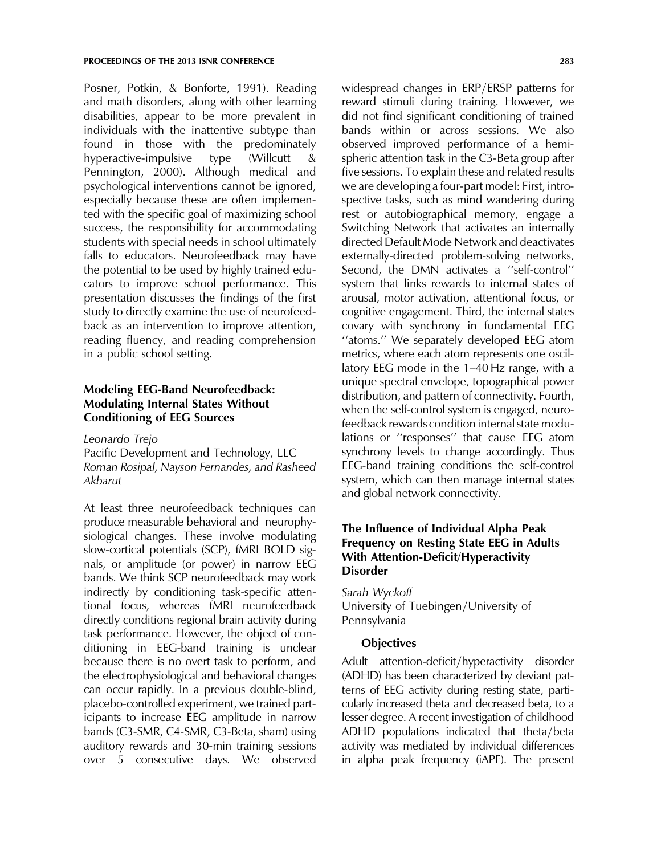Posner, Potkin, & Bonforte, 1991). Reading and math disorders, along with other learning disabilities, appear to be more prevalent in individuals with the inattentive subtype than found in those with the predominately hyperactive-impulsive type (Willcutt & Pennington, 2000). Although medical and psychological interventions cannot be ignored, especially because these are often implemented with the specific goal of maximizing school success, the responsibility for accommodating students with special needs in school ultimately falls to educators. Neurofeedback may have the potential to be used by highly trained educators to improve school performance. This presentation discusses the findings of the first study to directly examine the use of neurofeedback as an intervention to improve attention, reading fluency, and reading comprehension in a public school setting.

# Modeling EEG-Band Neurofeedback: Modulating Internal States Without Conditioning of EEG Sources

Leonardo Trejo

Pacific Development and Technology, LLC Roman Rosipal, Nayson Fernandes, and Rasheed Akbarut

At least three neurofeedback techniques can produce measurable behavioral and neurophysiological changes. These involve modulating slow-cortical potentials (SCP), fMRI BOLD signals, or amplitude (or power) in narrow EEG bands. We think SCP neurofeedback may work indirectly by conditioning task-specific attentional focus, whereas fMRI neurofeedback directly conditions regional brain activity during task performance. However, the object of conditioning in EEG-band training is unclear because there is no overt task to perform, and the electrophysiological and behavioral changes can occur rapidly. In a previous double-blind, placebo-controlled experiment, we trained participants to increase EEG amplitude in narrow bands (C3-SMR, C4-SMR, C3-Beta, sham) using auditory rewards and 30-min training sessions over 5 consecutive days. We observed widespread changes in ERP/ERSP patterns for reward stimuli during training. However, we did not find significant conditioning of trained bands within or across sessions. We also observed improved performance of a hemispheric attention task in the C3-Beta group after five sessions. To explain these and related results we are developing a four-part model: First, introspective tasks, such as mind wandering during rest or autobiographical memory, engage a Switching Network that activates an internally directed Default Mode Network and deactivates externally-directed problem-solving networks, Second, the DMN activates a ''self-control'' system that links rewards to internal states of arousal, motor activation, attentional focus, or cognitive engagement. Third, the internal states covary with synchrony in fundamental EEG ''atoms.'' We separately developed EEG atom metrics, where each atom represents one oscillatory EEG mode in the 1–40 Hz range, with a unique spectral envelope, topographical power distribution, and pattern of connectivity. Fourth, when the self-control system is engaged, neurofeedback rewards condition internal state modulations or ''responses'' that cause EEG atom synchrony levels to change accordingly. Thus EEG-band training conditions the self-control system, which can then manage internal states and global network connectivity.

# The Influence of Individual Alpha Peak Frequency on Resting State EEG in Adults With Attention-Deficit/Hyperactivity Disorder

Sarah Wyckoff University of Tuebingen/University of Pennsylvania

#### **Objectives**

Adult attention-deficit/hyperactivity disorder (ADHD) has been characterized by deviant patterns of EEG activity during resting state, particularly increased theta and decreased beta, to a lesser degree. A recent investigation of childhood ADHD populations indicated that theta/beta activity was mediated by individual differences in alpha peak frequency (iAPF). The present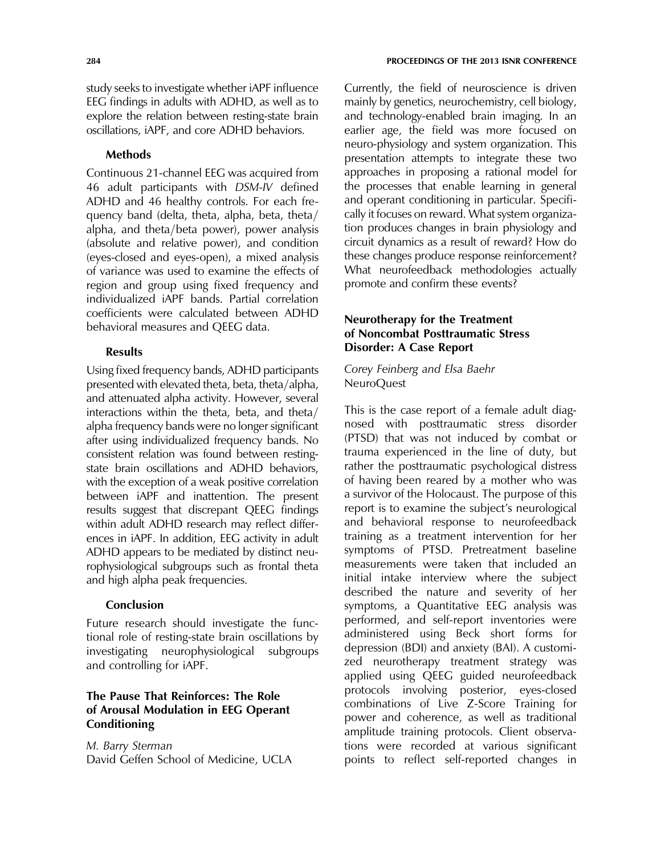study seeks to investigate whether iAPF influence EEG findings in adults with ADHD, as well as to explore the relation between resting-state brain oscillations, iAPF, and core ADHD behaviors.

### **Methods**

Continuous 21-channel EEG was acquired from 46 adult participants with DSM-IV defined ADHD and 46 healthy controls. For each frequency band (delta, theta, alpha, beta, theta/ alpha, and theta/beta power), power analysis (absolute and relative power), and condition (eyes-closed and eyes-open), a mixed analysis of variance was used to examine the effects of region and group using fixed frequency and individualized iAPF bands. Partial correlation coefficients were calculated between ADHD behavioral measures and QEEG data.

### Results

Using fixed frequency bands, ADHD participants presented with elevated theta, beta, theta/alpha, and attenuated alpha activity. However, several interactions within the theta, beta, and theta/ alpha frequency bands were no longer significant after using individualized frequency bands. No consistent relation was found between restingstate brain oscillations and ADHD behaviors, with the exception of a weak positive correlation between iAPF and inattention. The present results suggest that discrepant QEEG findings within adult ADHD research may reflect differences in iAPF. In addition, EEG activity in adult ADHD appears to be mediated by distinct neurophysiological subgroups such as frontal theta and high alpha peak frequencies.

# Conclusion

Future research should investigate the functional role of resting-state brain oscillations by investigating neurophysiological subgroups and controlling for iAPF.

# The Pause That Reinforces: The Role of Arousal Modulation in EEG Operant Conditioning

M. Barry Sterman David Geffen School of Medicine, UCLA

Currently, the field of neuroscience is driven mainly by genetics, neurochemistry, cell biology, and technology-enabled brain imaging. In an earlier age, the field was more focused on neuro-physiology and system organization. This presentation attempts to integrate these two approaches in proposing a rational model for the processes that enable learning in general and operant conditioning in particular. Specifically it focuses on reward. What system organization produces changes in brain physiology and circuit dynamics as a result of reward? How do these changes produce response reinforcement? What neurofeedback methodologies actually promote and confirm these events?

# Neurotherapy for the Treatment of Noncombat Posttraumatic Stress Disorder: A Case Report

Corey Feinberg and Elsa Baehr NeuroQuest

This is the case report of a female adult diagnosed with posttraumatic stress disorder (PTSD) that was not induced by combat or trauma experienced in the line of duty, but rather the posttraumatic psychological distress of having been reared by a mother who was a survivor of the Holocaust. The purpose of this report is to examine the subject's neurological and behavioral response to neurofeedback training as a treatment intervention for her symptoms of PTSD. Pretreatment baseline measurements were taken that included an initial intake interview where the subject described the nature and severity of her symptoms, a Quantitative EEG analysis was performed, and self-report inventories were administered using Beck short forms for depression (BDI) and anxiety (BAI). A customized neurotherapy treatment strategy was applied using QEEG guided neurofeedback protocols involving posterior, eyes-closed combinations of Live Z-Score Training for power and coherence, as well as traditional amplitude training protocols. Client observations were recorded at various significant points to reflect self-reported changes in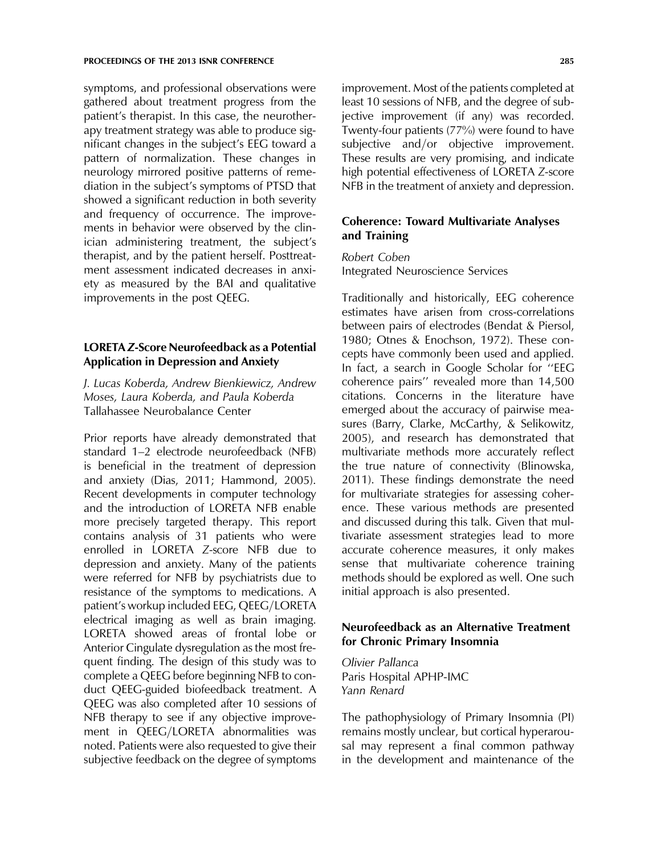symptoms, and professional observations were gathered about treatment progress from the patient's therapist. In this case, the neurotherapy treatment strategy was able to produce significant changes in the subject's EEG toward a pattern of normalization. These changes in neurology mirrored positive patterns of remediation in the subject's symptoms of PTSD that showed a significant reduction in both severity and frequency of occurrence. The improvements in behavior were observed by the clinician administering treatment, the subject's therapist, and by the patient herself. Posttreatment assessment indicated decreases in anxiety as measured by the BAI and qualitative improvements in the post QEEG.

# LORETA *Z*-Score Neurofeedback as a Potential Application in Depression and Anxiety

J. Lucas Koberda, Andrew Bienkiewicz, Andrew Moses, Laura Koberda, and Paula Koberda Tallahassee Neurobalance Center

Prior reports have already demonstrated that standard 1–2 electrode neurofeedback (NFB) is beneficial in the treatment of depression and anxiety (Dias, 2011; Hammond, 2005). Recent developments in computer technology and the introduction of LORETA NFB enable more precisely targeted therapy. This report contains analysis of 31 patients who were enrolled in LORETA Z-score NFB due to depression and anxiety. Many of the patients were referred for NFB by psychiatrists due to resistance of the symptoms to medications. A patient's workup included EEG, QEEG/LORETA electrical imaging as well as brain imaging. LORETA showed areas of frontal lobe or Anterior Cingulate dysregulation as the most frequent finding. The design of this study was to complete a QEEG before beginning NFB to conduct QEEG-guided biofeedback treatment. A QEEG was also completed after 10 sessions of NFB therapy to see if any objective improvement in QEEG/LORETA abnormalities was noted. Patients were also requested to give their subjective feedback on the degree of symptoms improvement. Most of the patients completed at least 10 sessions of NFB, and the degree of subjective improvement (if any) was recorded. Twenty-four patients (77%) were found to have subjective and/or objective improvement. These results are very promising, and indicate high potential effectiveness of LORETA Z-score NFB in the treatment of anxiety and depression.

# Coherence: Toward Multivariate Analyses and Training

Robert Coben Integrated Neuroscience Services

Traditionally and historically, EEG coherence estimates have arisen from cross-correlations between pairs of electrodes (Bendat & Piersol, 1980; Otnes & Enochson, 1972). These concepts have commonly been used and applied. In fact, a search in Google Scholar for ''EEG coherence pairs'' revealed more than 14,500 citations. Concerns in the literature have emerged about the accuracy of pairwise measures (Barry, Clarke, McCarthy, & Selikowitz, 2005), and research has demonstrated that multivariate methods more accurately reflect the true nature of connectivity (Blinowska, 2011). These findings demonstrate the need for multivariate strategies for assessing coherence. These various methods are presented and discussed during this talk. Given that multivariate assessment strategies lead to more accurate coherence measures, it only makes sense that multivariate coherence training methods should be explored as well. One such initial approach is also presented.

### Neurofeedback as an Alternative Treatment for Chronic Primary Insomnia

Olivier Pallanca Paris Hospital APHP-IMC Yann Renard

The pathophysiology of Primary Insomnia (PI) remains mostly unclear, but cortical hyperarousal may represent a final common pathway in the development and maintenance of the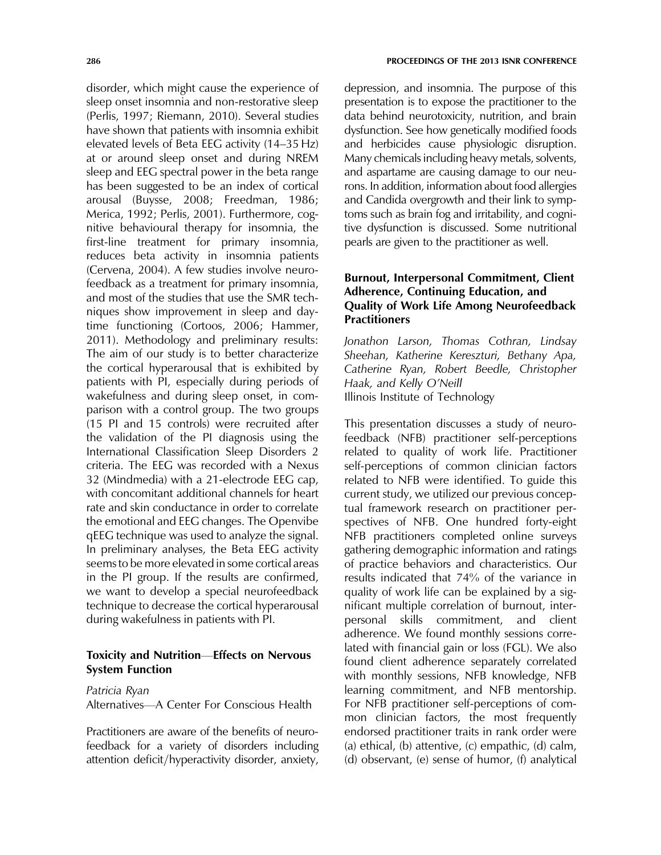disorder, which might cause the experience of sleep onset insomnia and non-restorative sleep (Perlis, 1997; Riemann, 2010). Several studies have shown that patients with insomnia exhibit elevated levels of Beta EEG activity (14–35 Hz) at or around sleep onset and during NREM sleep and EEG spectral power in the beta range has been suggested to be an index of cortical arousal (Buysse, 2008; Freedman, 1986; Merica, 1992; Perlis, 2001). Furthermore, cognitive behavioural therapy for insomnia, the first-line treatment for primary insomnia, reduces beta activity in insomnia patients (Cervena, 2004). A few studies involve neurofeedback as a treatment for primary insomnia, and most of the studies that use the SMR techniques show improvement in sleep and daytime functioning (Cortoos, 2006; Hammer, 2011). Methodology and preliminary results: The aim of our study is to better characterize the cortical hyperarousal that is exhibited by patients with PI, especially during periods of wakefulness and during sleep onset, in comparison with a control group. The two groups (15 PI and 15 controls) were recruited after the validation of the PI diagnosis using the International Classification Sleep Disorders 2 criteria. The EEG was recorded with a Nexus 32 (Mindmedia) with a 21-electrode EEG cap, with concomitant additional channels for heart rate and skin conductance in order to correlate the emotional and EEG changes. The Openvibe qEEG technique was used to analyze the signal. In preliminary analyses, the Beta EEG activity seems to be more elevated in some cortical areas in the PI group. If the results are confirmed, we want to develop a special neurofeedback technique to decrease the cortical hyperarousal during wakefulness in patients with PI.

# Toxicity and Nutrition—Effects on Nervous System Function

# Patricia Ryan

Alternatives—A Center For Conscious Health

Practitioners are aware of the benefits of neurofeedback for a variety of disorders including attention deficit/hyperactivity disorder, anxiety,

depression, and insomnia. The purpose of this presentation is to expose the practitioner to the data behind neurotoxicity, nutrition, and brain dysfunction. See how genetically modified foods and herbicides cause physiologic disruption. Many chemicals including heavy metals, solvents, and aspartame are causing damage to our neurons. In addition, information about food allergies and Candida overgrowth and their link to symptoms such as brain fog and irritability, and cognitive dysfunction is discussed. Some nutritional pearls are given to the practitioner as well.

# Burnout, Interpersonal Commitment, Client Adherence, Continuing Education, and Quality of Work Life Among Neurofeedback **Practitioners**

Jonathon Larson, Thomas Cothran, Lindsay Sheehan, Katherine Kereszturi, Bethany Apa, Catherine Ryan, Robert Beedle, Christopher Haak, and Kelly O'Neill Illinois Institute of Technology

This presentation discusses a study of neurofeedback (NFB) practitioner self-perceptions related to quality of work life. Practitioner self-perceptions of common clinician factors related to NFB were identified. To guide this current study, we utilized our previous conceptual framework research on practitioner perspectives of NFB. One hundred forty-eight NFB practitioners completed online surveys gathering demographic information and ratings of practice behaviors and characteristics. Our results indicated that 74% of the variance in quality of work life can be explained by a significant multiple correlation of burnout, inter-<br>personal skills commitment, and client personal skills commitment. adherence. We found monthly sessions correlated with financial gain or loss (FGL). We also found client adherence separately correlated with monthly sessions, NFB knowledge, NFB learning commitment, and NFB mentorship. For NFB practitioner self-perceptions of common clinician factors, the most frequently endorsed practitioner traits in rank order were (a) ethical, (b) attentive, (c) empathic, (d) calm, (d) observant, (e) sense of humor, (f) analytical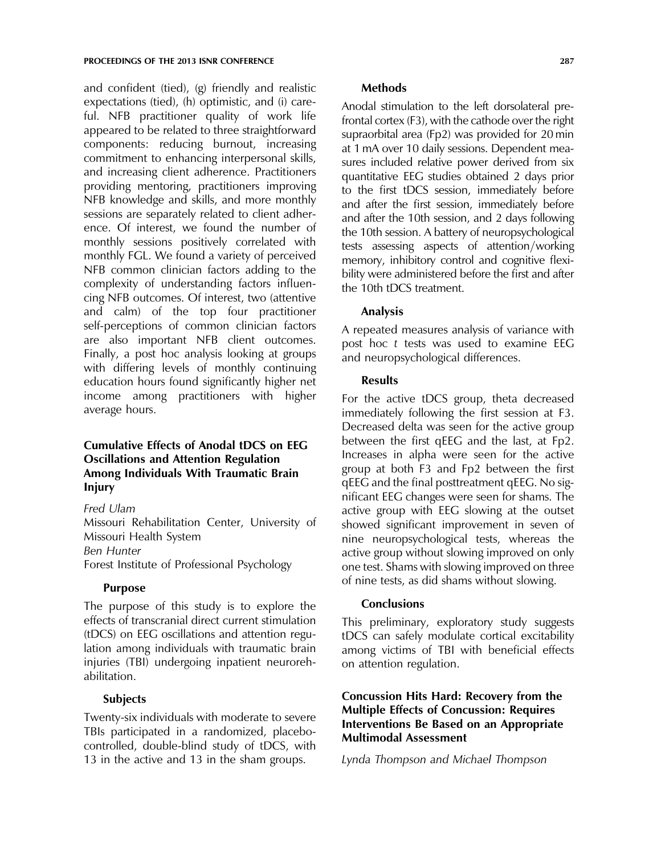and confident (tied), (g) friendly and realistic expectations (tied), (h) optimistic, and (i) careful. NFB practitioner quality of work life appeared to be related to three straightforward components: reducing burnout, increasing commitment to enhancing interpersonal skills, and increasing client adherence. Practitioners providing mentoring, practitioners improving NFB knowledge and skills, and more monthly sessions are separately related to client adherence. Of interest, we found the number of monthly sessions positively correlated with monthly FGL. We found a variety of perceived NFB common clinician factors adding to the complexity of understanding factors influencing NFB outcomes. Of interest, two (attentive and calm) of the top four practitioner self-perceptions of common clinician factors are also important NFB client outcomes. Finally, a post hoc analysis looking at groups with differing levels of monthly continuing education hours found significantly higher net income among practitioners with higher average hours.

# Cumulative Effects of Anodal tDCS on EEG Oscillations and Attention Regulation Among Individuals With Traumatic Brain Injury

Fred Ulam Missouri Rehabilitation Center, University of Missouri Health System Ben Hunter Forest Institute of Professional Psychology

#### Purpose

The purpose of this study is to explore the effects of transcranial direct current stimulation (tDCS) on EEG oscillations and attention regulation among individuals with traumatic brain injuries (TBI) undergoing inpatient neurorehabilitation.

#### Subjects

Twenty-six individuals with moderate to severe TBIs participated in a randomized, placebocontrolled, double-blind study of tDCS, with 13 in the active and 13 in the sham groups.

Anodal stimulation to the left dorsolateral prefrontal cortex (F3), with the cathode over the right supraorbital area (Fp2) was provided for 20 min at 1 mA over 10 daily sessions. Dependent measures included relative power derived from six quantitative EEG studies obtained 2 days prior to the first tDCS session, immediately before and after the first session, immediately before and after the 10th session, and 2 days following the 10th session. A battery of neuropsychological tests assessing aspects of attention/working memory, inhibitory control and cognitive flexibility were administered before the first and after the 10th tDCS treatment.

#### Analysis

A repeated measures analysis of variance with post hoc t tests was used to examine EEG and neuropsychological differences.

#### Results

For the active tDCS group, theta decreased immediately following the first session at F3. Decreased delta was seen for the active group between the first qEEG and the last, at Fp2. Increases in alpha were seen for the active group at both F3 and Fp2 between the first qEEG and the final posttreatment qEEG. No significant EEG changes were seen for shams. The active group with EEG slowing at the outset showed significant improvement in seven of nine neuropsychological tests, whereas the active group without slowing improved on only one test. Shams with slowing improved on three of nine tests, as did shams without slowing.

#### **Conclusions**

This preliminary, exploratory study suggests tDCS can safely modulate cortical excitability among victims of TBI with beneficial effects on attention regulation.

# Concussion Hits Hard: Recovery from the Multiple Effects of Concussion: Requires Interventions Be Based on an Appropriate Multimodal Assessment

Lynda Thompson and Michael Thompson